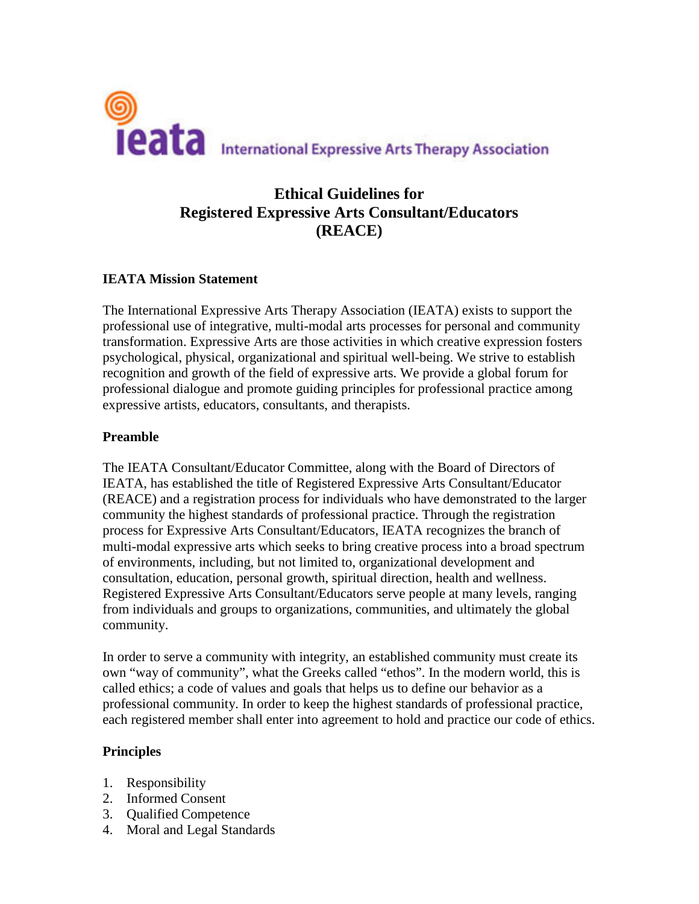

## **Ethical Guidelines for Registered Expressive Arts Consultant/Educators (REACE)**

## **IEATA Mission Statement**

The International Expressive Arts Therapy Association (IEATA) exists to support the professional use of integrative, multi-modal arts processes for personal and community transformation. Expressive Arts are those activities in which creative expression fosters psychological, physical, organizational and spiritual well-being. We strive to establish recognition and growth of the field of expressive arts. We provide a global forum for professional dialogue and promote guiding principles for professional practice among expressive artists, educators, consultants, and therapists.

## **Preamble**

The IEATA Consultant/Educator Committee, along with the Board of Directors of IEATA, has established the title of Registered Expressive Arts Consultant/Educator (REACE) and a registration process for individuals who have demonstrated to the larger community the highest standards of professional practice. Through the registration process for Expressive Arts Consultant/Educators, IEATA recognizes the branch of multi-modal expressive arts which seeks to bring creative process into a broad spectrum of environments, including, but not limited to, organizational development and consultation, education, personal growth, spiritual direction, health and wellness. Registered Expressive Arts Consultant/Educators serve people at many levels, ranging from individuals and groups to organizations, communities, and ultimately the global community.

In order to serve a community with integrity, an established community must create its own "way of community", what the Greeks called "ethos". In the modern world, this is called ethics; a code of values and goals that helps us to define our behavior as a professional community. In order to keep the highest standards of professional practice, each registered member shall enter into agreement to hold and practice our code of ethics.

#### **Principles**

- 1. Responsibility
- 2. Informed Consent
- 3. Qualified Competence
- 4. Moral and Legal Standards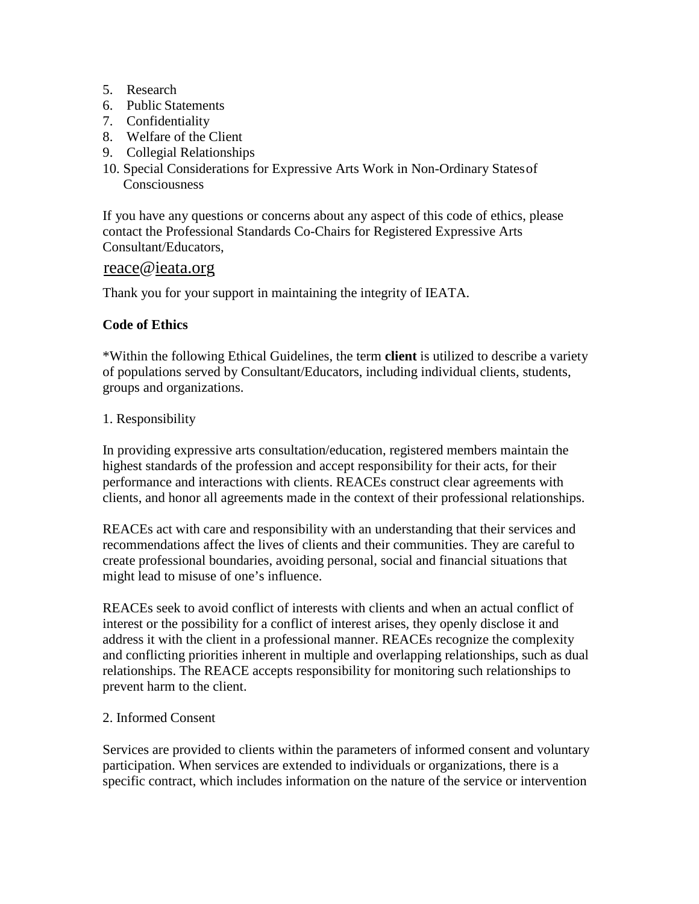- 5. Research
- 6. Public Statements
- 7. Confidentiality
- 8. Welfare of the Client
- 9. Collegial Relationships
- 10. Special Considerations for Expressive Arts Work in Non-Ordinary Statesof Consciousness

If you have any questions or concerns about any aspect of this code of ethics, please contact the Professional Standards Co-Chairs for Registered Expressive Arts Consultant/Educators,

# reace@<u>ieata.org</u>

Thank you for your support in maintaining the integrity of IEATA.

## **Code of Ethics**

\*Within the following Ethical Guidelines, the term **client** is utilized to describe a variety of populations served by Consultant/Educators, including individual clients, students, groups and organizations.

## 1. Responsibility

In providing expressive arts consultation/education, registered members maintain the highest standards of the profession and accept responsibility for their acts, for their performance and interactions with clients. REACEs construct clear agreements with clients, and honor all agreements made in the context of their professional relationships.

REACEs act with care and responsibility with an understanding that their services and recommendations affect the lives of clients and their communities. They are careful to create professional boundaries, avoiding personal, social and financial situations that might lead to misuse of one's influence.

REACEs seek to avoid conflict of interests with clients and when an actual conflict of interest or the possibility for a conflict of interest arises, they openly disclose it and address it with the client in a professional manner. REACEs recognize the complexity and conflicting priorities inherent in multiple and overlapping relationships, such as dual relationships. The REACE accepts responsibility for monitoring such relationships to prevent harm to the client.

#### 2. Informed Consent

Services are provided to clients within the parameters of informed consent and voluntary participation. When services are extended to individuals or organizations, there is a specific contract, which includes information on the nature of the service or intervention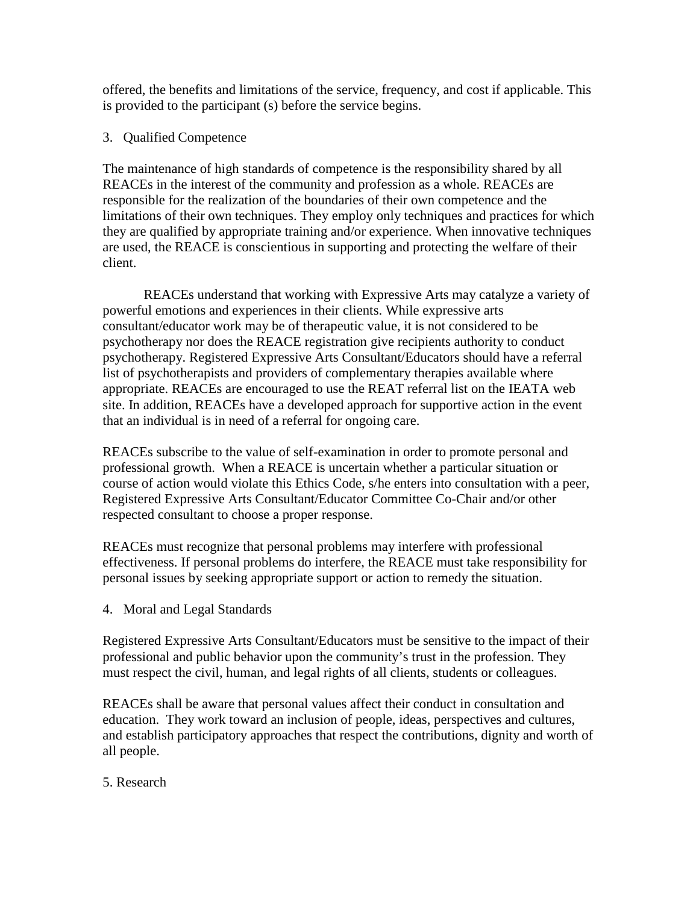offered, the benefits and limitations of the service, frequency, and cost if applicable. This is provided to the participant (s) before the service begins.

## 3. Qualified Competence

The maintenance of high standards of competence is the responsibility shared by all REACEs in the interest of the community and profession as a whole. REACEs are responsible for the realization of the boundaries of their own competence and the limitations of their own techniques. They employ only techniques and practices for which they are qualified by appropriate training and/or experience. When innovative techniques are used, the REACE is conscientious in supporting and protecting the welfare of their client.

REACEs understand that working with Expressive Arts may catalyze a variety of powerful emotions and experiences in their clients. While expressive arts consultant/educator work may be of therapeutic value, it is not considered to be psychotherapy nor does the REACE registration give recipients authority to conduct psychotherapy. Registered Expressive Arts Consultant/Educators should have a referral list of psychotherapists and providers of complementary therapies available where appropriate. REACEs are encouraged to use the REAT referral list on the IEATA web site. In addition, REACEs have a developed approach for supportive action in the event that an individual is in need of a referral for ongoing care.

REACEs subscribe to the value of self-examination in order to promote personal and professional growth. When a REACE is uncertain whether a particular situation or course of action would violate this Ethics Code, s/he enters into consultation with a peer, Registered Expressive Arts Consultant/Educator Committee Co-Chair and/or other respected consultant to choose a proper response.

REACEs must recognize that personal problems may interfere with professional effectiveness. If personal problems do interfere, the REACE must take responsibility for personal issues by seeking appropriate support or action to remedy the situation.

4. Moral and Legal Standards

Registered Expressive Arts Consultant/Educators must be sensitive to the impact of their professional and public behavior upon the community's trust in the profession. They must respect the civil, human, and legal rights of all clients, students or colleagues.

REACEs shall be aware that personal values affect their conduct in consultation and education. They work toward an inclusion of people, ideas, perspectives and cultures, and establish participatory approaches that respect the contributions, dignity and worth of all people.

5. Research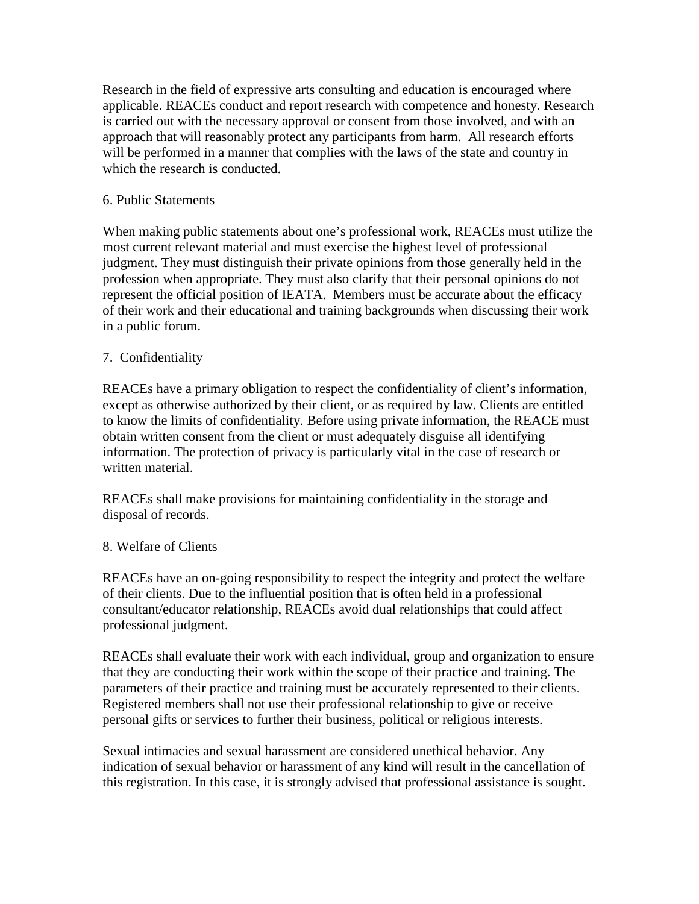Research in the field of expressive arts consulting and education is encouraged where applicable. REACEs conduct and report research with competence and honesty. Research is carried out with the necessary approval or consent from those involved, and with an approach that will reasonably protect any participants from harm. All research efforts will be performed in a manner that complies with the laws of the state and country in which the research is conducted.

## 6. Public Statements

When making public statements about one's professional work, REACEs must utilize the most current relevant material and must exercise the highest level of professional judgment. They must distinguish their private opinions from those generally held in the profession when appropriate. They must also clarify that their personal opinions do not represent the official position of IEATA. Members must be accurate about the efficacy of their work and their educational and training backgrounds when discussing their work in a public forum.

## 7. Confidentiality

REACEs have a primary obligation to respect the confidentiality of client's information, except as otherwise authorized by their client, or as required by law. Clients are entitled to know the limits of confidentiality. Before using private information, the REACE must obtain written consent from the client or must adequately disguise all identifying information. The protection of privacy is particularly vital in the case of research or written material.

REACEs shall make provisions for maintaining confidentiality in the storage and disposal of records.

#### 8. Welfare of Clients

REACEs have an on-going responsibility to respect the integrity and protect the welfare of their clients. Due to the influential position that is often held in a professional consultant/educator relationship, REACEs avoid dual relationships that could affect professional judgment.

REACEs shall evaluate their work with each individual, group and organization to ensure that they are conducting their work within the scope of their practice and training. The parameters of their practice and training must be accurately represented to their clients. Registered members shall not use their professional relationship to give or receive personal gifts or services to further their business, political or religious interests.

Sexual intimacies and sexual harassment are considered unethical behavior. Any indication of sexual behavior or harassment of any kind will result in the cancellation of this registration. In this case, it is strongly advised that professional assistance is sought.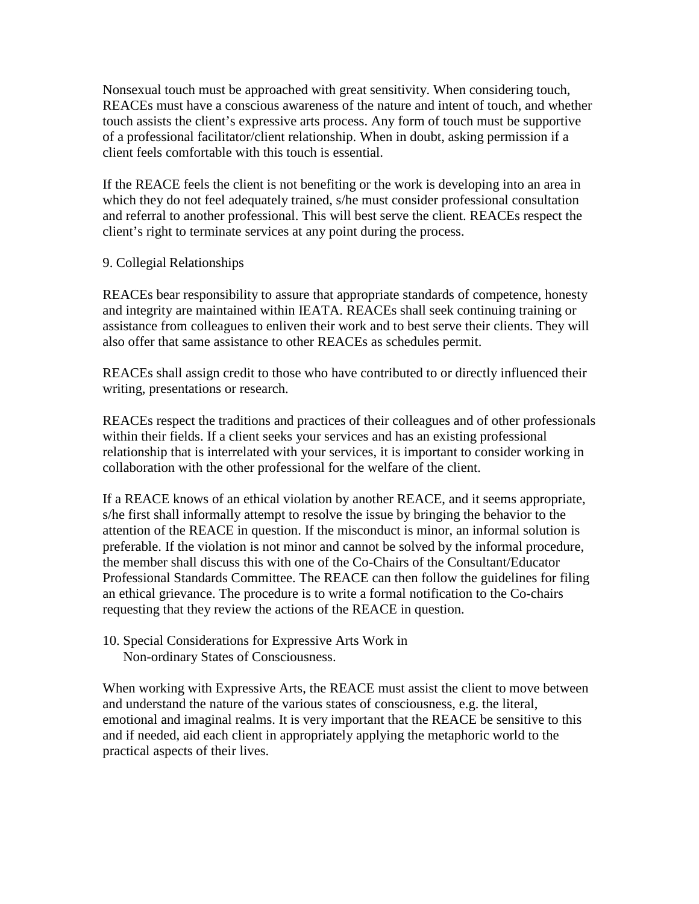Nonsexual touch must be approached with great sensitivity. When considering touch, REACEs must have a conscious awareness of the nature and intent of touch, and whether touch assists the client's expressive arts process. Any form of touch must be supportive of a professional facilitator/client relationship. When in doubt, asking permission if a client feels comfortable with this touch is essential.

If the REACE feels the client is not benefiting or the work is developing into an area in which they do not feel adequately trained, s/he must consider professional consultation and referral to another professional. This will best serve the client. REACEs respect the client's right to terminate services at any point during the process.

## 9. Collegial Relationships

REACEs bear responsibility to assure that appropriate standards of competence, honesty and integrity are maintained within IEATA. REACEs shall seek continuing training or assistance from colleagues to enliven their work and to best serve their clients. They will also offer that same assistance to other REACEs as schedules permit.

REACEs shall assign credit to those who have contributed to or directly influenced their writing, presentations or research.

REACEs respect the traditions and practices of their colleagues and of other professionals within their fields. If a client seeks your services and has an existing professional relationship that is interrelated with your services, it is important to consider working in collaboration with the other professional for the welfare of the client.

If a REACE knows of an ethical violation by another REACE, and it seems appropriate, s/he first shall informally attempt to resolve the issue by bringing the behavior to the attention of the REACE in question. If the misconduct is minor, an informal solution is preferable. If the violation is not minor and cannot be solved by the informal procedure, the member shall discuss this with one of the Co-Chairs of the Consultant/Educator Professional Standards Committee. The REACE can then follow the guidelines for filing an ethical grievance. The procedure is to write a formal notification to the Co-chairs requesting that they review the actions of the REACE in question.

10. Special Considerations for Expressive Arts Work in Non-ordinary States of Consciousness.

When working with Expressive Arts, the REACE must assist the client to move between and understand the nature of the various states of consciousness, e.g. the literal, emotional and imaginal realms. It is very important that the REACE be sensitive to this and if needed, aid each client in appropriately applying the metaphoric world to the practical aspects of their lives.